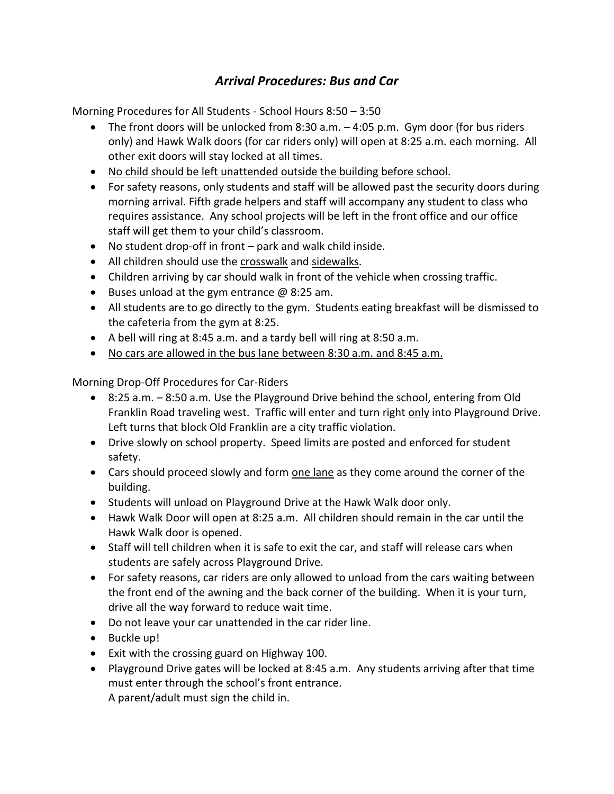## *Arrival Procedures: Bus and Car*

Morning Procedures for All Students - School Hours 8:50 – 3:50

- The front doors will be unlocked from 8:30 a.m. 4:05 p.m. Gym door (for bus riders only) and Hawk Walk doors (for car riders only) will open at 8:25 a.m. each morning. All other exit doors will stay locked at all times.
- No child should be left unattended outside the building before school.
- For safety reasons, only students and staff will be allowed past the security doors during morning arrival. Fifth grade helpers and staff will accompany any student to class who requires assistance. Any school projects will be left in the front office and our office staff will get them to your child's classroom.
- No student drop-off in front park and walk child inside.
- All children should use the crosswalk and sidewalks.
- Children arriving by car should walk in front of the vehicle when crossing traffic.
- Example 1 Buses unload at the gym entrance  $\omega$  8:25 am.
- All students are to go directly to the gym. Students eating breakfast will be dismissed to the cafeteria from the gym at 8:25.
- A bell will ring at 8:45 a.m. and a tardy bell will ring at 8:50 a.m.
- No cars are allowed in the bus lane between 8:30 a.m. and 8:45 a.m.

Morning Drop-Off Procedures for Car-Riders

- 8:25 a.m. 8:50 a.m. Use the Playground Drive behind the school, entering from Old Franklin Road traveling west. Traffic will enter and turn right only into Playground Drive. Left turns that block Old Franklin are a city traffic violation.
- Drive slowly on school property. Speed limits are posted and enforced for student safety.
- Cars should proceed slowly and form one lane as they come around the corner of the building.
- Students will unload on Playground Drive at the Hawk Walk door only.
- Hawk Walk Door will open at 8:25 a.m. All children should remain in the car until the Hawk Walk door is opened.
- Staff will tell children when it is safe to exit the car, and staff will release cars when students are safely across Playground Drive.
- For safety reasons, car riders are only allowed to unload from the cars waiting between the front end of the awning and the back corner of the building. When it is your turn, drive all the way forward to reduce wait time.
- Do not leave your car unattended in the car rider line.
- Buckle up!
- Exit with the crossing guard on Highway 100.
- Playground Drive gates will be locked at 8:45 a.m. Any students arriving after that time must enter through the school's front entrance. A parent/adult must sign the child in.